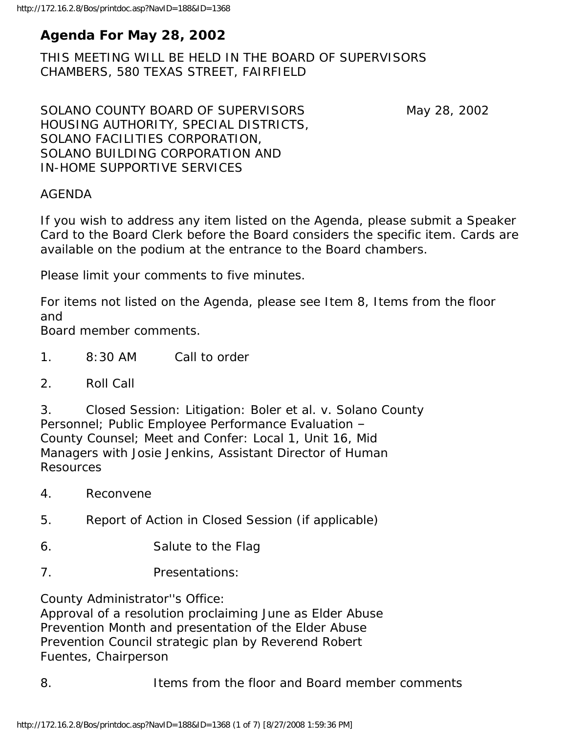# **Agenda For May 28, 2002**

THIS MEETING WILL BE HELD IN THE BOARD OF SUPERVISORS CHAMBERS, 580 TEXAS STREET, FAIRFIELD

SOLANO COUNTY BOARD OF SUPERVISORS May 28, 2002 HOUSING AUTHORITY, SPECIAL DISTRICTS, SOLANO FACILITIES CORPORATION, SOLANO BUILDING CORPORATION AND IN-HOME SUPPORTIVE SERVICES

#### AGENDA

If you wish to address any item listed on the Agenda, please submit a Speaker Card to the Board Clerk before the Board considers the specific item. Cards are available on the podium at the entrance to the Board chambers.

Please limit your comments to five minutes.

For items not listed on the Agenda, please see Item 8, Items from the floor and

Board member comments.

- 1. 8:30 AM Call to order
- 2. Roll Call

3. Closed Session: Litigation: Boler et al. v. Solano County Personnel; Public Employee Performance Evaluation – County Counsel; Meet and Confer: Local 1, Unit 16, Mid Managers with Josie Jenkins, Assistant Director of Human Resources

- 4. Reconvene
- 5. Report of Action in Closed Session (if applicable)
- 6. Salute to the Flag
- 7. Presentations:

County Administrator''s Office:

Approval of a resolution proclaiming June as Elder Abuse Prevention Month and presentation of the Elder Abuse Prevention Council strategic plan by Reverend Robert Fuentes, Chairperson

8. Items from the floor and Board member comments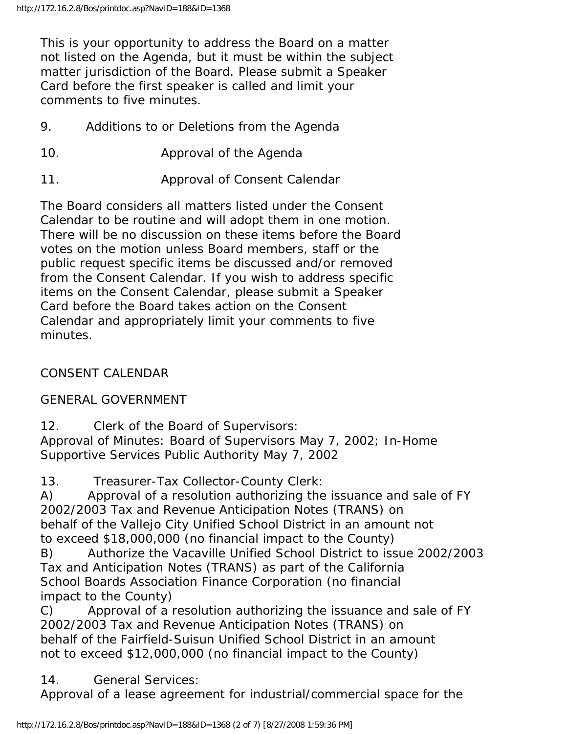This is your opportunity to address the Board on a matter not listed on the Agenda, but it must be within the subject matter jurisdiction of the Board. Please submit a Speaker Card before the first speaker is called and limit your comments to five minutes.

- 9. Additions to or Deletions from the Agenda
- 10. Approval of the Agenda
- 11. Approval of Consent Calendar

The Board considers all matters listed under the Consent Calendar to be routine and will adopt them in one motion. There will be no discussion on these items before the Board votes on the motion unless Board members, staff or the public request specific items be discussed and/or removed from the Consent Calendar. If you wish to address specific items on the Consent Calendar, please submit a Speaker Card before the Board takes action on the Consent Calendar and appropriately limit your comments to five minutes.

CONSENT CALENDAR

GENERAL GOVERNMENT

12. Clerk of the Board of Supervisors: Approval of Minutes: Board of Supervisors May 7, 2002; In-Home Supportive Services Public Authority May 7, 2002

13. Treasurer-Tax Collector-County Clerk:

A) Approval of a resolution authorizing the issuance and sale of FY 2002/2003 Tax and Revenue Anticipation Notes (TRANS) on behalf of the Vallejo City Unified School District in an amount not to exceed \$18,000,000 (no financial impact to the County)

B) Authorize the Vacaville Unified School District to issue 2002/2003 Tax and Anticipation Notes (TRANS) as part of the California School Boards Association Finance Corporation (no financial impact to the County)

C) Approval of a resolution authorizing the issuance and sale of FY 2002/2003 Tax and Revenue Anticipation Notes (TRANS) on behalf of the Fairfield-Suisun Unified School District in an amount not to exceed \$12,000,000 (no financial impact to the County)

14. General Services:

Approval of a lease agreement for industrial/commercial space for the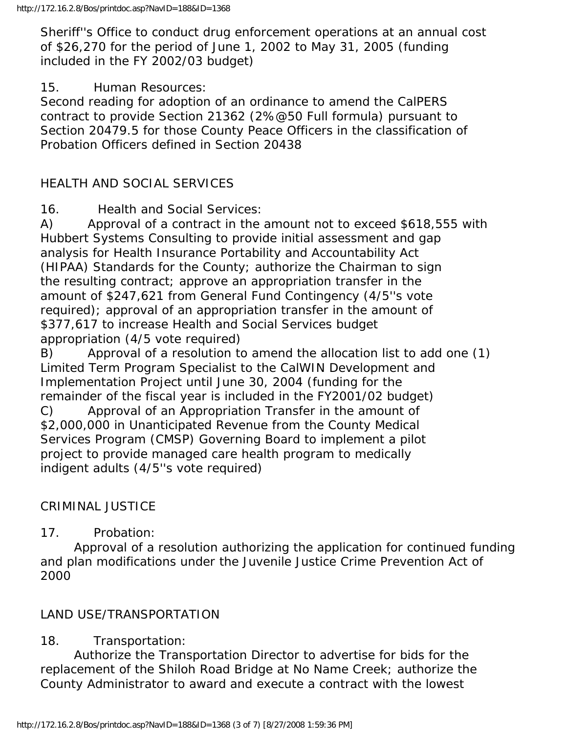Sheriff''s Office to conduct drug enforcement operations at an annual cost of \$26,270 for the period of June 1, 2002 to May 31, 2005 (funding included in the FY 2002/03 budget)

#### 15. Human Resources:

Second reading for adoption of an ordinance to amend the CalPERS contract to provide Section 21362 (2%@50 Full formula) pursuant to Section 20479.5 for those County Peace Officers in the classification of Probation Officers defined in Section 20438

## HEALTH AND SOCIAL SERVICES

16. Health and Social Services:

A) Approval of a contract in the amount not to exceed \$618,555 with Hubbert Systems Consulting to provide initial assessment and gap analysis for Health Insurance Portability and Accountability Act (HIPAA) Standards for the County; authorize the Chairman to sign the resulting contract; approve an appropriation transfer in the amount of \$247,621 from General Fund Contingency (4/5''s vote required); approval of an appropriation transfer in the amount of \$377,617 to increase Health and Social Services budget appropriation (4/5 vote required)

B) Approval of a resolution to amend the allocation list to add one (1) Limited Term Program Specialist to the CalWIN Development and Implementation Project until June 30, 2004 (funding for the remainder of the fiscal year is included in the FY2001/02 budget) C) Approval of an Appropriation Transfer in the amount of \$2,000,000 in Unanticipated Revenue from the County Medical Services Program (CMSP) Governing Board to implement a pilot project to provide managed care health program to medically indigent adults (4/5''s vote required)

# CRIMINAL JUSTICE

## 17. Probation:

 Approval of a resolution authorizing the application for continued funding and plan modifications under the Juvenile Justice Crime Prevention Act of 2000

# LAND USE/TRANSPORTATION

# 18. Transportation:

 Authorize the Transportation Director to advertise for bids for the replacement of the Shiloh Road Bridge at No Name Creek; authorize the County Administrator to award and execute a contract with the lowest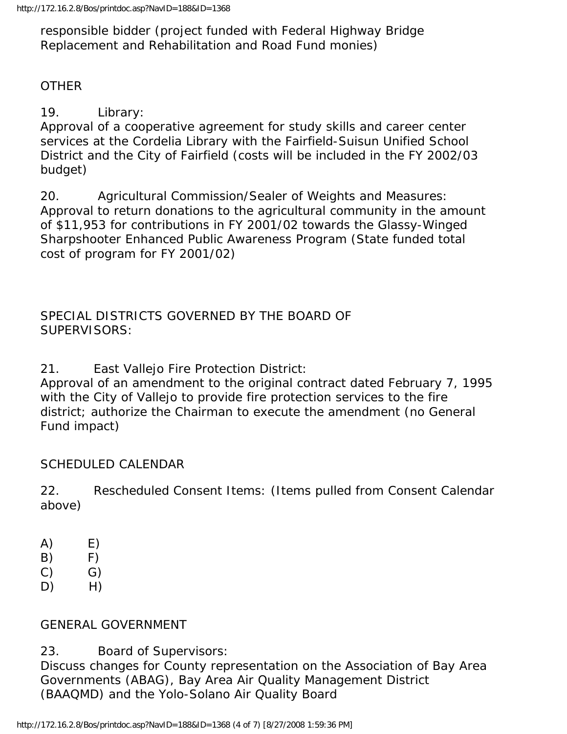responsible bidder (project funded with Federal Highway Bridge Replacement and Rehabilitation and Road Fund monies)

## **OTHER**

19. Library:

Approval of a cooperative agreement for study skills and career center services at the Cordelia Library with the Fairfield-Suisun Unified School District and the City of Fairfield (costs will be included in the FY 2002/03 budget)

20. Agricultural Commission/Sealer of Weights and Measures: Approval to return donations to the agricultural community in the amount of \$11,953 for contributions in FY 2001/02 towards the Glassy-Winged Sharpshooter Enhanced Public Awareness Program (State funded total cost of program for FY 2001/02)

SPECIAL DISTRICTS GOVERNED BY THE BOARD OF SUPERVISORS:

21. East Vallejo Fire Protection District:

Approval of an amendment to the original contract dated February 7, 1995 with the City of Vallejo to provide fire protection services to the fire district; authorize the Chairman to execute the amendment (no General Fund impact)

## SCHEDULED CALENDAR

22. Rescheduled Consent Items: (Items pulled from Consent Calendar above)

- $(A)$   $E)$
- $(B)$  F)
- $(C)$   $(G)$
- $D)$  H)

## GENERAL GOVERNMENT

23. Board of Supervisors:

Discuss changes for County representation on the Association of Bay Area Governments (ABAG), Bay Area Air Quality Management District (BAAQMD) and the Yolo-Solano Air Quality Board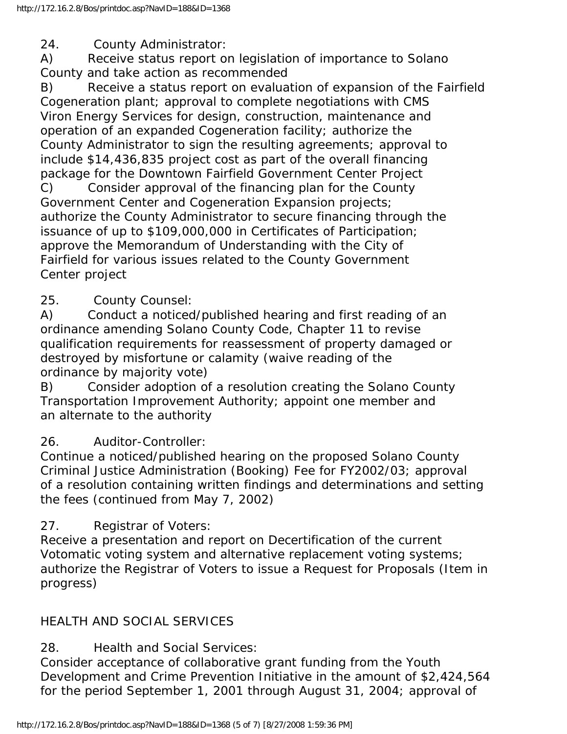24. County Administrator:

A) Receive status report on legislation of importance to Solano County and take action as recommended

B) Receive a status report on evaluation of expansion of the Fairfield Cogeneration plant; approval to complete negotiations with CMS Viron Energy Services for design, construction, maintenance and operation of an expanded Cogeneration facility; authorize the County Administrator to sign the resulting agreements; approval to include \$14,436,835 project cost as part of the overall financing package for the Downtown Fairfield Government Center Project C) Consider approval of the financing plan for the County Government Center and Cogeneration Expansion projects;

authorize the County Administrator to secure financing through the issuance of up to \$109,000,000 in Certificates of Participation; approve the Memorandum of Understanding with the City of Fairfield for various issues related to the County Government Center project

# 25. County Counsel:

A) Conduct a noticed/published hearing and first reading of an ordinance amending Solano County Code, Chapter 11 to revise qualification requirements for reassessment of property damaged or destroyed by misfortune or calamity (waive reading of the ordinance by majority vote)

B) Consider adoption of a resolution creating the Solano County Transportation Improvement Authority; appoint one member and an alternate to the authority

26. Auditor-Controller:

Continue a noticed/published hearing on the proposed Solano County Criminal Justice Administration (Booking) Fee for FY2002/03; approval of a resolution containing written findings and determinations and setting the fees (continued from May 7, 2002)

27. Registrar of Voters:

Receive a presentation and report on Decertification of the current Votomatic voting system and alternative replacement voting systems; authorize the Registrar of Voters to issue a Request for Proposals (Item in progress)

# HEALTH AND SOCIAL SERVICES

28. Health and Social Services:

Consider acceptance of collaborative grant funding from the Youth Development and Crime Prevention Initiative in the amount of \$2,424,564 for the period September 1, 2001 through August 31, 2004; approval of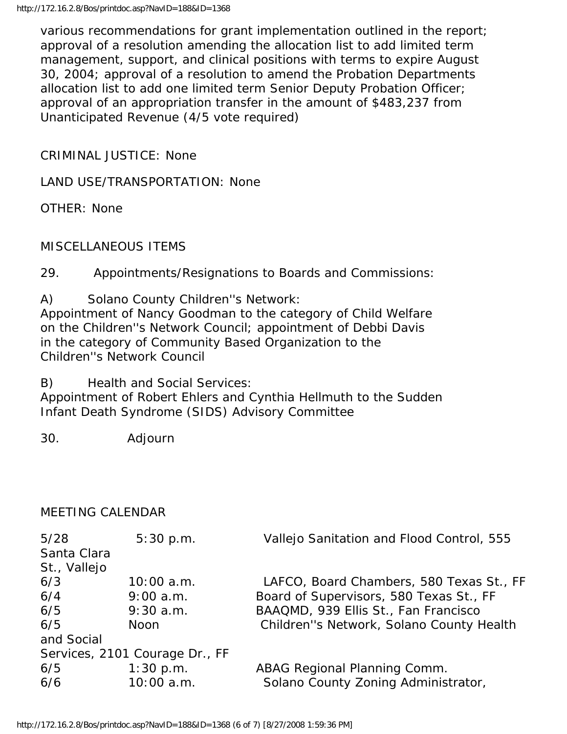various recommendations for grant implementation outlined in the report; approval of a resolution amending the allocation list to add limited term management, support, and clinical positions with terms to expire August 30, 2004; approval of a resolution to amend the Probation Departments allocation list to add one limited term Senior Deputy Probation Officer; approval of an appropriation transfer in the amount of \$483,237 from Unanticipated Revenue (4/5 vote required)

CRIMINAL JUSTICE: None

LAND USE/TRANSPORTATION: None

OTHER: None

#### MISCELLANEOUS ITEMS

29. Appointments/Resignations to Boards and Commissions:

A) Solano County Children''s Network:

Appointment of Nancy Goodman to the category of Child Welfare on the Children''s Network Council; appointment of Debbi Davis in the category of Community Based Organization to the Children''s Network Council

B) Health and Social Services:

Appointment of Robert Ehlers and Cynthia Hellmuth to the Sudden Infant Death Syndrome (SIDS) Advisory Committee

30. Adjourn

#### MEETING CALENDAR

| 5/28         | 5:30 p.m.                      | Vallejo Sanitation and Flood Control, 555 |
|--------------|--------------------------------|-------------------------------------------|
| Santa Clara  |                                |                                           |
| St., Vallejo |                                |                                           |
| 6/3          | $10:00$ a.m.                   | LAFCO, Board Chambers, 580 Texas St., FF  |
| 6/4          | $9:00$ a.m.                    | Board of Supervisors, 580 Texas St., FF   |
| 6/5          | $9:30$ a.m.                    | BAAQMD, 939 Ellis St., Fan Francisco      |
| 6/5          | <b>Noon</b>                    | Children"s Network, Solano County Health  |
| and Social   |                                |                                           |
|              | Services, 2101 Courage Dr., FF |                                           |
| 6/5          | $1:30$ p.m.                    | ABAG Regional Planning Comm.              |
| 6/6          | $10:00$ a.m.                   | Solano County Zoning Administrator,       |